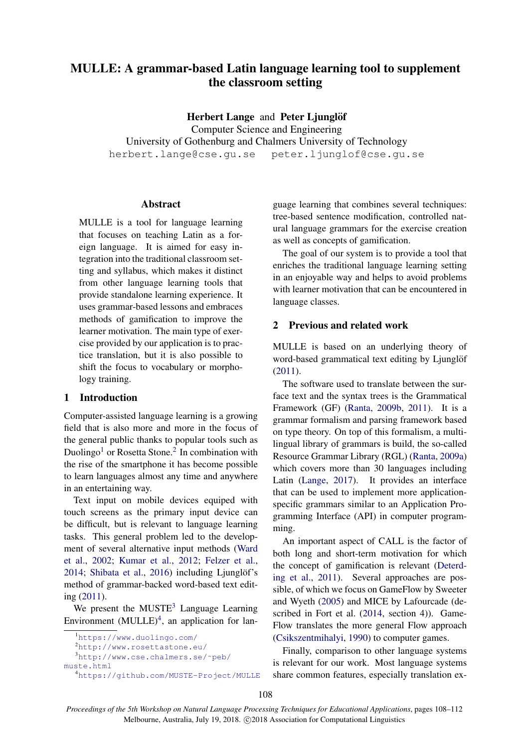# MULLE: A grammar-based Latin language learning tool to supplement the classroom setting

Herbert Lange and Peter Ljunglöf Computer Science and Engineering University of Gothenburg and Chalmers University of Technology herbert.lange@cse.gu.se peter.ljunglof@cse.gu.se

### Abstract

MULLE is a tool for language learning that focuses on teaching Latin as a foreign language. It is aimed for easy integration into the traditional classroom setting and syllabus, which makes it distinct from other language learning tools that provide standalone learning experience. It uses grammar-based lessons and embraces methods of gamification to improve the learner motivation. The main type of exercise provided by our application is to practice translation, but it is also possible to shift the focus to vocabulary or morphology training.

# 1 Introduction

Computer-assisted language learning is a growing field that is also more and more in the focus of the general public thanks to popular tools such as Duolingo<sup>[1](#page-0-0)</sup> or Rosetta Stone.<sup>[2](#page-0-1)</sup> In combination with the rise of the smartphone it has become possible to learn languages almost any time and anywhere in an entertaining way.

Text input on mobile devices equiped with touch screens as the primary input device can be difficult, but is relevant to language learning tasks. This general problem led to the development of several alternative input methods [\(Ward](#page-4-0) [et al.,](#page-4-0) [2002;](#page-4-0) [Kumar et al.,](#page-4-1) [2012;](#page-4-1) [Felzer et al.,](#page-4-2) [2014;](#page-4-2) [Shibata et al.,](#page-4-3) [2016\)](#page-4-3) including Ljunglöf's method of grammar-backed word-based text editing [\(2011\)](#page-4-4).

We present the  $MUSTE<sup>3</sup>$  $MUSTE<sup>3</sup>$  $MUSTE<sup>3</sup>$  Language Learning Environment  $(MULLE)^4$  $(MULLE)^4$ , an application for lan-

guage learning that combines several techniques: tree-based sentence modification, controlled natural language grammars for the exercise creation as well as concepts of gamification.

The goal of our system is to provide a tool that enriches the traditional language learning setting in an enjoyable way and helps to avoid problems with learner motivation that can be encountered in language classes.

# <span id="page-0-4"></span>2 Previous and related work

MULLE is based on an underlying theory of word-based grammatical text editing by Ljunglöf [\(2011\)](#page-4-4).

The software used to translate between the surface text and the syntax trees is the Grammatical Framework (GF) [\(Ranta,](#page-4-5) [2009b,](#page-4-5) [2011\)](#page-4-6). It is a grammar formalism and parsing framework based on type theory. On top of this formalism, a multilingual library of grammars is build, the so-called Resource Grammar Library (RGL) [\(Ranta,](#page-4-7) [2009a\)](#page-4-7) which covers more than 30 languages including Latin [\(Lange,](#page-4-8) [2017\)](#page-4-8). It provides an interface that can be used to implement more applicationspecific grammars similar to an Application Programming Interface (API) in computer programming.

An important aspect of CALL is the factor of both long and short-term motivation for which the concept of gamification is relevant [\(Deterd](#page-4-9)[ing et al.,](#page-4-9) [2011\)](#page-4-9). Several approaches are possible, of which we focus on GameFlow by Sweeter and Wyeth [\(2005\)](#page-4-10) and MICE by Lafourcade (described in Fort et al. [\(2014,](#page-4-11) section 4)). Game-Flow translates the more general Flow approach [\(Csikszentmihalyi,](#page-4-12) [1990\)](#page-4-12) to computer games.

Finally, comparison to other language systems is relevant for our work. Most language systems share common features, especially translation ex-

<span id="page-0-0"></span><sup>1</sup><https://www.duolingo.com/>

<span id="page-0-1"></span><sup>2</sup><http://www.rosettastone.eu/>

<span id="page-0-2"></span><sup>3</sup>[http://www.cse.chalmers.se/˜peb/](http://www.cse.chalmers.se/~peb/muste.html)

[muste.html](http://www.cse.chalmers.se/~peb/muste.html)

<span id="page-0-3"></span><sup>4</sup><https://github.com/MUSTE-Project/MULLE>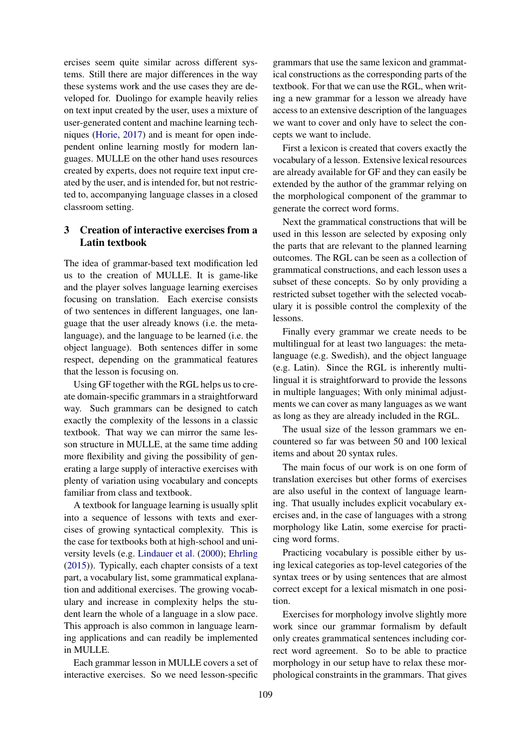ercises seem quite similar across different systems. Still there are major differences in the way these systems work and the use cases they are developed for. Duolingo for example heavily relies on text input created by the user, uses a mixture of user-generated content and machine learning techniques [\(Horie,](#page-4-13) [2017\)](#page-4-13) and is meant for open independent online learning mostly for modern languages. MULLE on the other hand uses resources created by experts, does not require text input created by the user, and is intended for, but not restricted to, accompanying language classes in a closed classroom setting.

# 3 Creation of interactive exercises from a Latin textbook

The idea of grammar-based text modification led us to the creation of MULLE. It is game-like and the player solves language learning exercises focusing on translation. Each exercise consists of two sentences in different languages, one language that the user already knows (i.e. the metalanguage), and the language to be learned (i.e. the object language). Both sentences differ in some respect, depending on the grammatical features that the lesson is focusing on.

Using GF together with the RGL helps us to create domain-specific grammars in a straightforward way. Such grammars can be designed to catch exactly the complexity of the lessons in a classic textbook. That way we can mirror the same lesson structure in MULLE, at the same time adding more flexibility and giving the possibility of generating a large supply of interactive exercises with plenty of variation using vocabulary and concepts familiar from class and textbook.

A textbook for language learning is usually split into a sequence of lessons with texts and exercises of growing syntactical complexity. This is the case for textbooks both at high-school and university levels (e.g. [Lindauer et al.](#page-4-14) [\(2000\)](#page-4-14); [Ehrling](#page-4-15) [\(2015\)](#page-4-15)). Typically, each chapter consists of a text part, a vocabulary list, some grammatical explanation and additional exercises. The growing vocabulary and increase in complexity helps the student learn the whole of a language in a slow pace. This approach is also common in language learning applications and can readily be implemented in MULLE.

Each grammar lesson in MULLE covers a set of interactive exercises. So we need lesson-specific

grammars that use the same lexicon and grammatical constructions as the corresponding parts of the textbook. For that we can use the RGL, when writing a new grammar for a lesson we already have access to an extensive description of the languages we want to cover and only have to select the concepts we want to include.

First a lexicon is created that covers exactly the vocabulary of a lesson. Extensive lexical resources are already available for GF and they can easily be extended by the author of the grammar relying on the morphological component of the grammar to generate the correct word forms.

Next the grammatical constructions that will be used in this lesson are selected by exposing only the parts that are relevant to the planned learning outcomes. The RGL can be seen as a collection of grammatical constructions, and each lesson uses a subset of these concepts. So by only providing a restricted subset together with the selected vocabulary it is possible control the complexity of the lessons.

Finally every grammar we create needs to be multilingual for at least two languages: the metalanguage (e.g. Swedish), and the object language (e.g. Latin). Since the RGL is inherently multilingual it is straightforward to provide the lessons in multiple languages; With only minimal adjustments we can cover as many languages as we want as long as they are already included in the RGL.

The usual size of the lesson grammars we encountered so far was between 50 and 100 lexical items and about 20 syntax rules.

The main focus of our work is on one form of translation exercises but other forms of exercises are also useful in the context of language learning. That usually includes explicit vocabulary exercises and, in the case of languages with a strong morphology like Latin, some exercise for practicing word forms.

Practicing vocabulary is possible either by using lexical categories as top-level categories of the syntax trees or by using sentences that are almost correct except for a lexical mismatch in one position.

Exercises for morphology involve slightly more work since our grammar formalism by default only creates grammatical sentences including correct word agreement. So to be able to practice morphology in our setup have to relax these morphological constraints in the grammars. That gives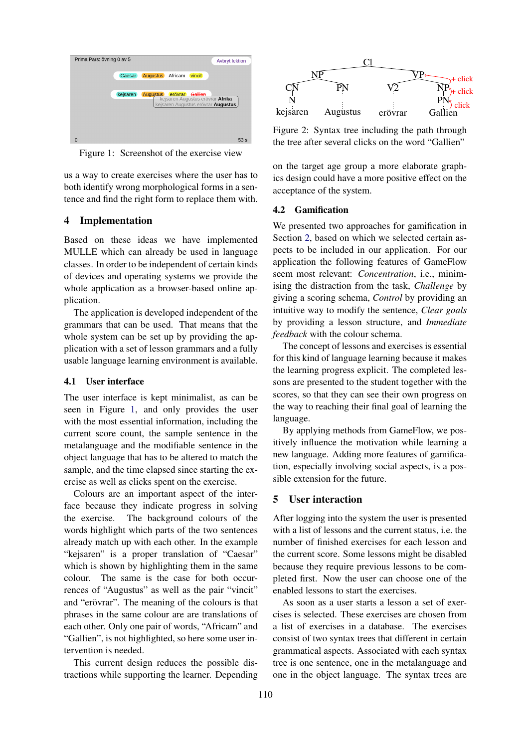<span id="page-2-0"></span>

Figure 1: Screenshot of the exercise view

us a way to create exercises where the user has to both identify wrong morphological forms in a sentence and find the right form to replace them with.

# 4 Implementation

Based on these ideas we have implemented MULLE which can already be used in language classes. In order to be independent of certain kinds of devices and operating systems we provide the whole application as a browser-based online application.

The application is developed independent of the grammars that can be used. That means that the whole system can be set up by providing the application with a set of lesson grammars and a fully usable language learning environment is available.

#### 4.1 User interface

The user interface is kept minimalist, as can be seen in Figure [1,](#page-2-0) and only provides the user with the most essential information, including the current score count, the sample sentence in the metalanguage and the modifiable sentence in the object language that has to be altered to match the sample, and the time elapsed since starting the exercise as well as clicks spent on the exercise.

Colours are an important aspect of the interface because they indicate progress in solving the exercise. The background colours of the words highlight which parts of the two sentences already match up with each other. In the example "kejsaren" is a proper translation of "Caesar" which is shown by highlighting them in the same colour. The same is the case for both occurrences of "Augustus" as well as the pair "vincit" and "erövrar". The meaning of the colours is that phrases in the same colour are are translations of each other. Only one pair of words, "Africam" and "Gallien", is not highlighted, so here some user intervention is needed.

This current design reduces the possible distractions while supporting the learner. Depending

<span id="page-2-1"></span>

Figure 2: Syntax tree including the path through the tree after several clicks on the word "Gallien"

on the target age group a more elaborate graphics design could have a more positive effect on the acceptance of the system.

### 4.2 Gamification

We presented two approaches for gamification in Section [2,](#page-0-4) based on which we selected certain aspects to be included in our application. For our application the following features of GameFlow seem most relevant: *Concentration*, i.e., minimising the distraction from the task, *Challenge* by giving a scoring schema, *Control* by providing an intuitive way to modify the sentence, *Clear goals* by providing a lesson structure, and *Immediate feedback* with the colour schema.

The concept of lessons and exercises is essential for this kind of language learning because it makes the learning progress explicit. The completed lessons are presented to the student together with the scores, so that they can see their own progress on the way to reaching their final goal of learning the language.

By applying methods from GameFlow, we positively influence the motivation while learning a new language. Adding more features of gamification, especially involving social aspects, is a possible extension for the future.

#### 5 User interaction

After logging into the system the user is presented with a list of lessons and the current status, i.e. the number of finished exercises for each lesson and the current score. Some lessons might be disabled because they require previous lessons to be completed first. Now the user can choose one of the enabled lessons to start the exercises.

As soon as a user starts a lesson a set of exercises is selected. These exercises are chosen from a list of exercises in a database. The exercises consist of two syntax trees that different in certain grammatical aspects. Associated with each syntax tree is one sentence, one in the metalanguage and one in the object language. The syntax trees are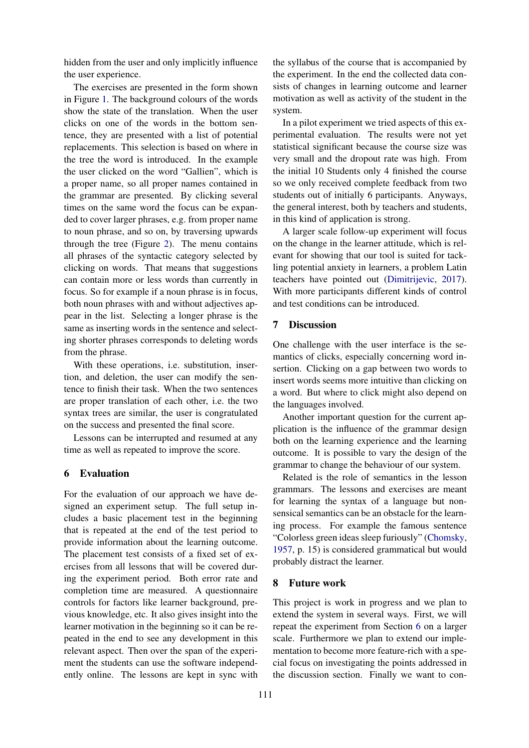hidden from the user and only implicitly influence the user experience.

The exercises are presented in the form shown in Figure [1.](#page-2-0) The background colours of the words show the state of the translation. When the user clicks on one of the words in the bottom sentence, they are presented with a list of potential replacements. This selection is based on where in the tree the word is introduced. In the example the user clicked on the word "Gallien", which is a proper name, so all proper names contained in the grammar are presented. By clicking several times on the same word the focus can be expanded to cover larger phrases, e.g. from proper name to noun phrase, and so on, by traversing upwards through the tree (Figure [2\)](#page-2-1). The menu contains all phrases of the syntactic category selected by clicking on words. That means that suggestions can contain more or less words than currently in focus. So for example if a noun phrase is in focus, both noun phrases with and without adjectives appear in the list. Selecting a longer phrase is the same as inserting words in the sentence and selecting shorter phrases corresponds to deleting words from the phrase.

With these operations, i.e. substitution, insertion, and deletion, the user can modify the sentence to finish their task. When the two sentences are proper translation of each other, i.e. the two syntax trees are similar, the user is congratulated on the success and presented the final score.

Lessons can be interrupted and resumed at any time as well as repeated to improve the score.

## <span id="page-3-0"></span>6 Evaluation

For the evaluation of our approach we have designed an experiment setup. The full setup includes a basic placement test in the beginning that is repeated at the end of the test period to provide information about the learning outcome. The placement test consists of a fixed set of exercises from all lessons that will be covered during the experiment period. Both error rate and completion time are measured. A questionnaire controls for factors like learner background, previous knowledge, etc. It also gives insight into the learner motivation in the beginning so it can be repeated in the end to see any development in this relevant aspect. Then over the span of the experiment the students can use the software independently online. The lessons are kept in sync with

the syllabus of the course that is accompanied by the experiment. In the end the collected data consists of changes in learning outcome and learner motivation as well as activity of the student in the system.

In a pilot experiment we tried aspects of this experimental evaluation. The results were not yet statistical significant because the course size was very small and the dropout rate was high. From the initial 10 Students only 4 finished the course so we only received complete feedback from two students out of initially 6 participants. Anyways, the general interest, both by teachers and students, in this kind of application is strong.

A larger scale follow-up experiment will focus on the change in the learner attitude, which is relevant for showing that our tool is suited for tackling potential anxiety in learners, a problem Latin teachers have pointed out [\(Dimitrijevic,](#page-4-16) [2017\)](#page-4-16). With more participants different kinds of control and test conditions can be introduced.

### 7 Discussion

One challenge with the user interface is the semantics of clicks, especially concerning word insertion. Clicking on a gap between two words to insert words seems more intuitive than clicking on a word. But where to click might also depend on the languages involved.

Another important question for the current application is the influence of the grammar design both on the learning experience and the learning outcome. It is possible to vary the design of the grammar to change the behaviour of our system.

Related is the role of semantics in the lesson grammars. The lessons and exercises are meant for learning the syntax of a language but nonsensical semantics can be an obstacle for the learning process. For example the famous sentence "Colorless green ideas sleep furiously" [\(Chomsky,](#page-4-17) [1957,](#page-4-17) p. 15) is considered grammatical but would probably distract the learner.

#### 8 Future work

This project is work in progress and we plan to extend the system in several ways. First, we will repeat the experiment from Section [6](#page-3-0) on a larger scale. Furthermore we plan to extend our implementation to become more feature-rich with a special focus on investigating the points addressed in the discussion section. Finally we want to con